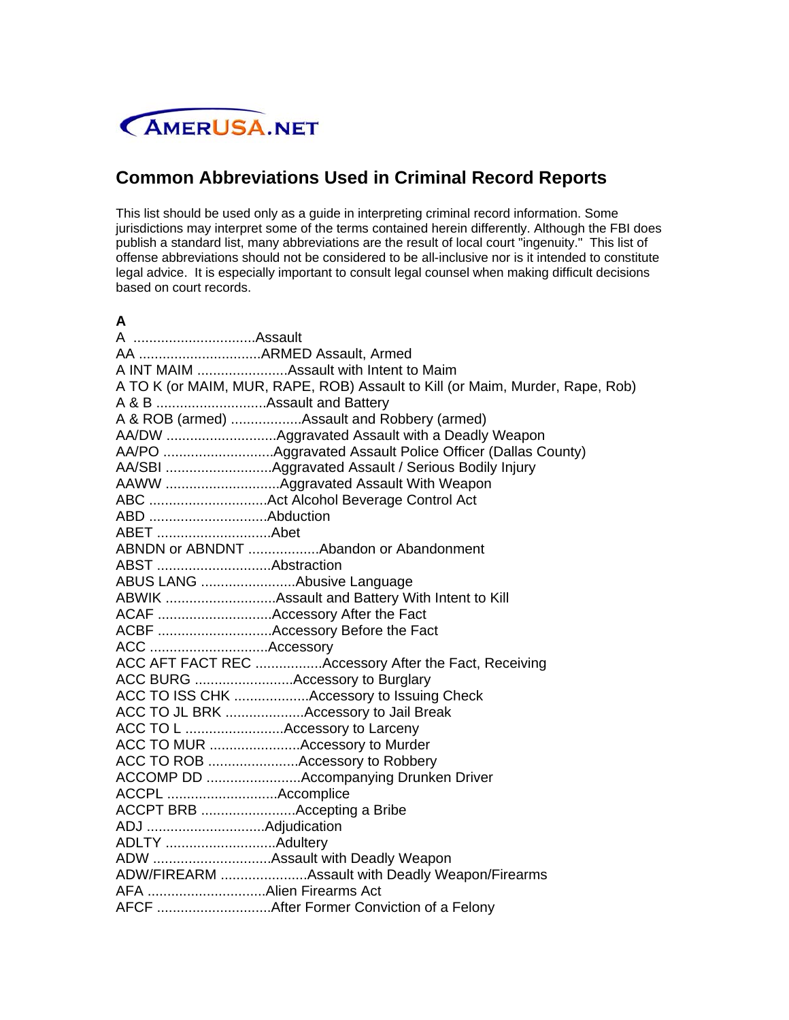

# **Common Abbreviations Used in Criminal Record Reports**

This list should be used only as a guide in interpreting criminal record information. Some jurisdictions may interpret some of the terms contained herein differently. Although the FBI does publish a standard list, many abbreviations are the result of local court "ingenuity." This list of offense abbreviations should not be considered to be all-inclusive nor is it intended to constitute legal advice. It is especially important to consult legal counsel when making difficult decisions based on court records.

| A                             |                                                                               |
|-------------------------------|-------------------------------------------------------------------------------|
|                               |                                                                               |
|                               |                                                                               |
|                               | A INT MAIM Assault with Intent to Maim                                        |
|                               | A TO K (or MAIM, MUR, RAPE, ROB) Assault to Kill (or Maim, Murder, Rape, Rob) |
| A & B Assault and Battery     |                                                                               |
|                               | A & ROB (armed) Assault and Robbery (armed)                                   |
|                               |                                                                               |
|                               | AA/PO Aggravated Assault Police Officer (Dallas County)                       |
|                               | AA/SBI Aggravated Assault / Serious Bodily Injury                             |
|                               |                                                                               |
|                               |                                                                               |
| ABD Abduction                 |                                                                               |
|                               |                                                                               |
|                               | ABNDN or ABNDNT Abandon or Abandonment                                        |
|                               |                                                                               |
| ABUS LANG Abusive Language    |                                                                               |
|                               | ABWIK Assault and Battery With Intent to Kill                                 |
|                               | ACAF Accessory After the Fact                                                 |
|                               | ACBF Accessory Before the Fact                                                |
|                               |                                                                               |
|                               | ACC AFT FACT REC Accessory After the Fact, Receiving                          |
|                               | ACC BURG Accessory to Burglary                                                |
|                               | ACC TO ISS CHK Accessory to Issuing Check                                     |
|                               | ACC TO JL BRK Accessory to Jail Break                                         |
| ACC TO L Accessory to Larceny |                                                                               |
|                               | ACC TO MUR Accessory to Murder                                                |
|                               | ACC TO ROB Accessory to Robbery                                               |
|                               | ACCOMP DD Accompanying Drunken Driver                                         |
| ACCPL Accomplice              |                                                                               |
| ACCPT BRB Accepting a Bribe   |                                                                               |
|                               |                                                                               |
| ADLTY Adultery                |                                                                               |
|                               | ADW Assault with Deadly Weapon                                                |
|                               | ADW/FIREARM Assault with Deadly Weapon/Firearms                               |
|                               |                                                                               |
|                               |                                                                               |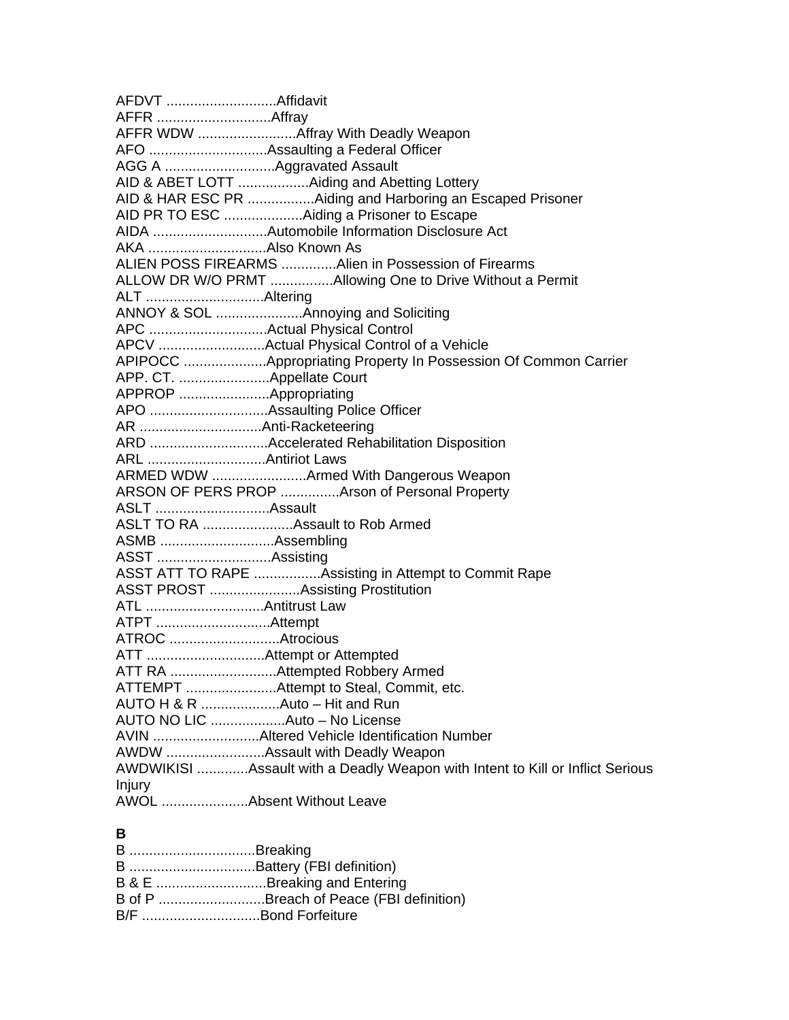| AFDVT Affidavit               |                                                                               |
|-------------------------------|-------------------------------------------------------------------------------|
|                               |                                                                               |
|                               | AFFR WDW  Affray With Deadly Weapon                                           |
|                               |                                                                               |
| AGG A Aggravated Assault      |                                                                               |
|                               | AID & ABET LOTT Aiding and Abetting Lottery                                   |
|                               | AID & HAR ESC PR Aiding and Harboring an Escaped Prisoner                     |
|                               | AID PR TO ESC Aiding a Prisoner to Escape                                     |
|                               |                                                                               |
|                               |                                                                               |
|                               | ALIEN POSS FIREARMS Alien in Possession of Firearms                           |
|                               | ALLOW DR W/O PRMT Allowing One to Drive Without a Permit                      |
| ALT Altering                  |                                                                               |
|                               | ANNOY & SOL Annoying and Soliciting                                           |
|                               |                                                                               |
|                               | APCV Actual Physical Control of a Vehicle                                     |
|                               | APIPOCC Appropriating Property In Possession Of Common Carrier                |
| APP. CT. Appellate Court      |                                                                               |
| APPROP Appropriating          |                                                                               |
|                               |                                                                               |
|                               |                                                                               |
|                               |                                                                               |
|                               |                                                                               |
|                               | ARMED WDW Armed With Dangerous Weapon                                         |
|                               | ARSON OF PERS PROP Arson of Personal Property                                 |
| ASLT Assault                  |                                                                               |
|                               | ASLT TO RA Assault to Rob Armed                                               |
| ASMB Assembling               |                                                                               |
| ASST Assisting                |                                                                               |
|                               | ASST ATT TO RAPE Assisting in Attempt to Commit Rape                          |
|                               | ASST PROST Assisting Prostitution                                             |
|                               |                                                                               |
| ATPT Attempt                  |                                                                               |
| ATROC Atrocious               |                                                                               |
| ATT Attempt or Attempted      |                                                                               |
|                               | ATT RA Attempted Robbery Armed                                                |
|                               | ATTEMPT Attempt to Steal, Commit, etc.                                        |
|                               |                                                                               |
| AUTO NO LIC Auto - No License |                                                                               |
|                               |                                                                               |
|                               | AWDW Assault with Deadly Weapon                                               |
|                               | AWDWIKISI Assault with a Deadly Weapon with Intent to Kill or Inflict Serious |
| Injury                        |                                                                               |
| AWOL Absent Without Leave     |                                                                               |
|                               |                                                                               |
|                               |                                                                               |

# **B**

| B Breaking          |                                         |
|---------------------|-----------------------------------------|
|                     | B Battery (FBI definition)              |
|                     | B & E Breaking and Entering             |
|                     | B of P Breach of Peace (FBI definition) |
| B/F Bond Forfeiture |                                         |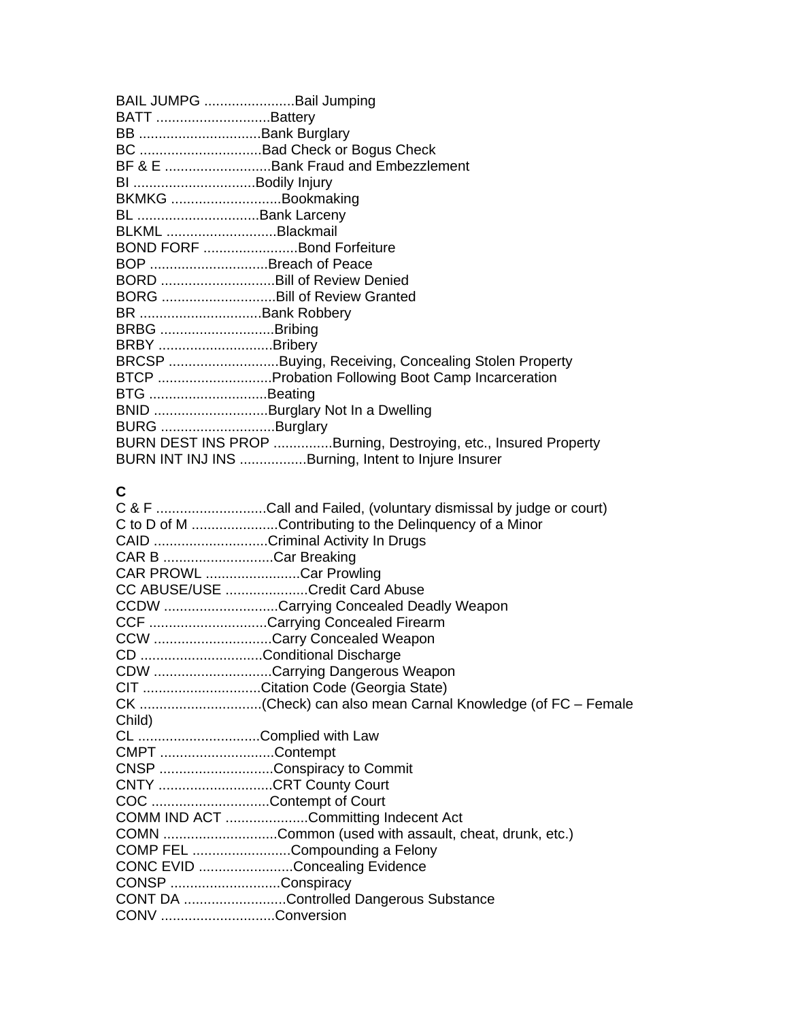|                      | BAIL JUMPG Bail Jumping                                        |
|----------------------|----------------------------------------------------------------|
| BATT Battery         |                                                                |
| BB Bank Burglary     |                                                                |
|                      | BC Bad Check or Bogus Check                                    |
|                      | BF & E Bank Fraud and Embezzlement                             |
| BI Bodily Injury     |                                                                |
| BKMKG Bookmaking     |                                                                |
| BL Bank Larceny      |                                                                |
| BLKML Blackmail      |                                                                |
|                      | BOND FORF Bond Forfeiture                                      |
|                      | BOP Breach of Peace                                            |
|                      | BORD Bill of Review Denied                                     |
|                      | BORG Bill of Review Granted                                    |
| BR Bank Robbery      |                                                                |
| <b>BRBG</b> Bribing  |                                                                |
| BRBY Bribery         |                                                                |
|                      | BRCSP Buying, Receiving, Concealing Stolen Property            |
|                      | BTCP Probation Following Boot Camp Incarceration               |
| BTG Beating          |                                                                |
|                      | BNID Burglary Not In a Dwelling                                |
| <b>BURG</b> Burglary |                                                                |
|                      | BURN DEST INS PROP Burning, Destroying, etc., Insured Property |
|                      | BURN INT INJ INS Burning, Intent to Injure Insurer             |

## **C**

|                      | C & F Call and Failed, (voluntary dismissal by judge or court) |
|----------------------|----------------------------------------------------------------|
|                      | C to D of M Contributing to the Delinquency of a Minor         |
|                      | CAID Criminal Activity In Drugs                                |
| CAR B Car Breaking   |                                                                |
|                      | CAR PROWL Car Prowling                                         |
|                      | CC ABUSE/USE Credit Card Abuse                                 |
|                      | CCDW Carrying Concealed Deadly Weapon                          |
|                      | CCF Carrying Concealed Firearm                                 |
|                      | CCW Carry Concealed Weapon                                     |
|                      | CD Conditional Discharge                                       |
|                      | CDW Carrying Dangerous Weapon                                  |
|                      | CIT Citation Code (Georgia State)                              |
|                      |                                                                |
| Child)               |                                                                |
|                      | CL Complied with Law                                           |
| <b>CMPT Contempt</b> |                                                                |
|                      | CNSP Conspiracy to Commit                                      |
|                      | <b>CNTY CRT County Court</b>                                   |
|                      | COC Contempt of Court                                          |
|                      | COMM IND ACT Committing Indecent Act                           |
|                      | COMN Common (used with assault, cheat, drunk, etc.)            |
|                      | COMP FEL Compounding a Felony                                  |
|                      | CONC EVID Concealing Evidence                                  |
| CONSP Conspiracy     |                                                                |
|                      | CONT DA Controlled Dangerous Substance                         |
| CONV Conversion      |                                                                |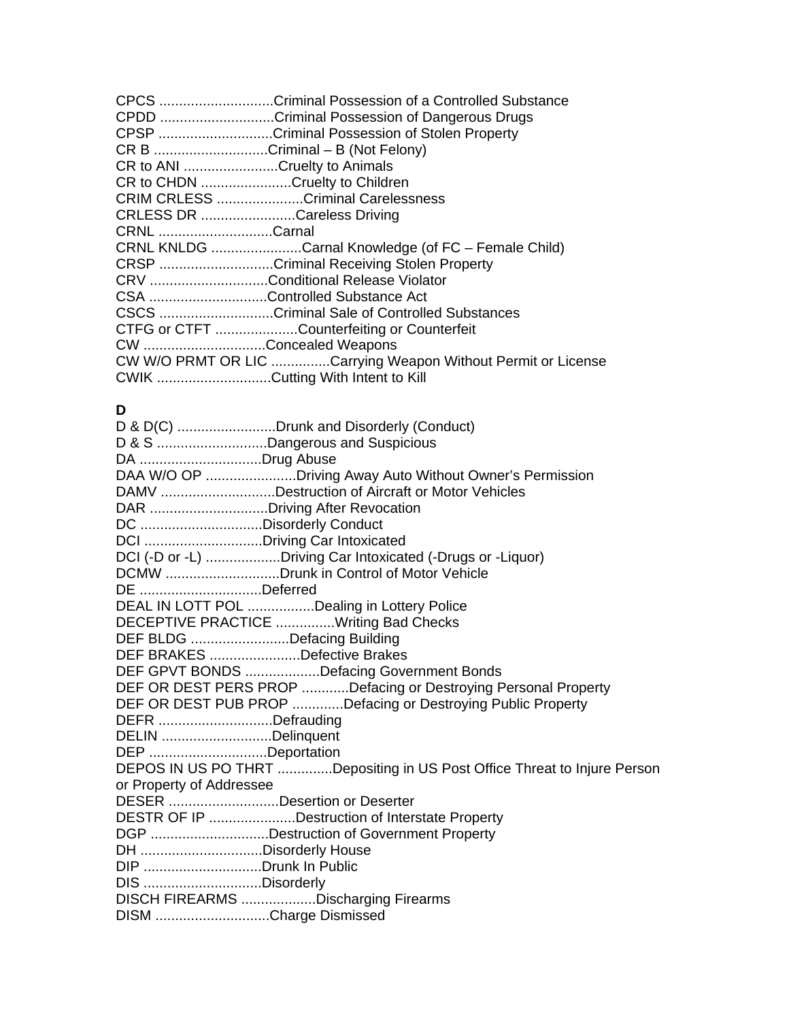|                              | CPCS Criminal Possession of a Controlled Substance           |
|------------------------------|--------------------------------------------------------------|
|                              | CPDD Criminal Possession of Dangerous Drugs                  |
|                              | CPSP Criminal Possession of Stolen Property                  |
|                              | CR B Criminal - B (Not Felony)                               |
| CR to ANI Cruelty to Animals |                                                              |
|                              | CR to CHDN Cruelty to Children                               |
|                              | CRIM CRLESS Criminal Carelessness                            |
|                              | CRLESS DR Careless Driving                                   |
| CRNL Carnal                  |                                                              |
|                              | CRNL KNLDG Carnal Knowledge (of FC - Female Child)           |
|                              | CRSP Criminal Receiving Stolen Property                      |
|                              | CRV Conditional Release Violator                             |
|                              | CSA Controlled Substance Act                                 |
|                              | CSCS Criminal Sale of Controlled Substances                  |
|                              | CTFG or CTFT Counterfeiting or Counterfeit                   |
|                              | CW Concealed Weapons                                         |
|                              | CW W/O PRMT OR LIC Carrying Weapon Without Permit or License |
|                              | CWIK Cutting With Intent to Kill                             |

## **D**

| D & D(C) Drunk and Disorderly (Conduct)                                  |
|--------------------------------------------------------------------------|
| D & S Dangerous and Suspicious                                           |
| DA Drug Abuse                                                            |
| DAA W/O OP Driving Away Auto Without Owner's Permission                  |
| DAMV Destruction of Aircraft or Motor Vehicles                           |
| DAR Driving After Revocation                                             |
| DC Disorderly Conduct                                                    |
| DCI Driving Car Intoxicated                                              |
| DCI (-D or -L) Driving Car Intoxicated (-Drugs or -Liquor)               |
| DCMW Drunk in Control of Motor Vehicle                                   |
| DE Deferred                                                              |
| DEAL IN LOTT POL Dealing in Lottery Police                               |
| DECEPTIVE PRACTICE Writing Bad Checks                                    |
| DEF BLDG Defacing Building                                               |
| DEF BRAKES Defective Brakes                                              |
| DEF GPVT BONDS Defacing Government Bonds                                 |
| DEF OR DEST PERS PROP Defacing or Destroying Personal Property           |
| DEF OR DEST PUB PROP Defacing or Destroying Public Property              |
| DEFR Defrauding                                                          |
| DELIN Delinquent                                                         |
| DEP Deportation                                                          |
| DEPOS IN US PO THRT Depositing in US Post Office Threat to Injure Person |
| or Property of Addressee                                                 |
| DESER Desertion or Deserter                                              |
| DESTR OF IP Destruction of Interstate Property                           |
| DGP Destruction of Government Property                                   |
| DH Disorderly House                                                      |
| DIP Drunk In Public                                                      |
| DIS Disorderly                                                           |
| DISCH FIREARMS Discharging Firearms                                      |
| DISM Charge Dismissed                                                    |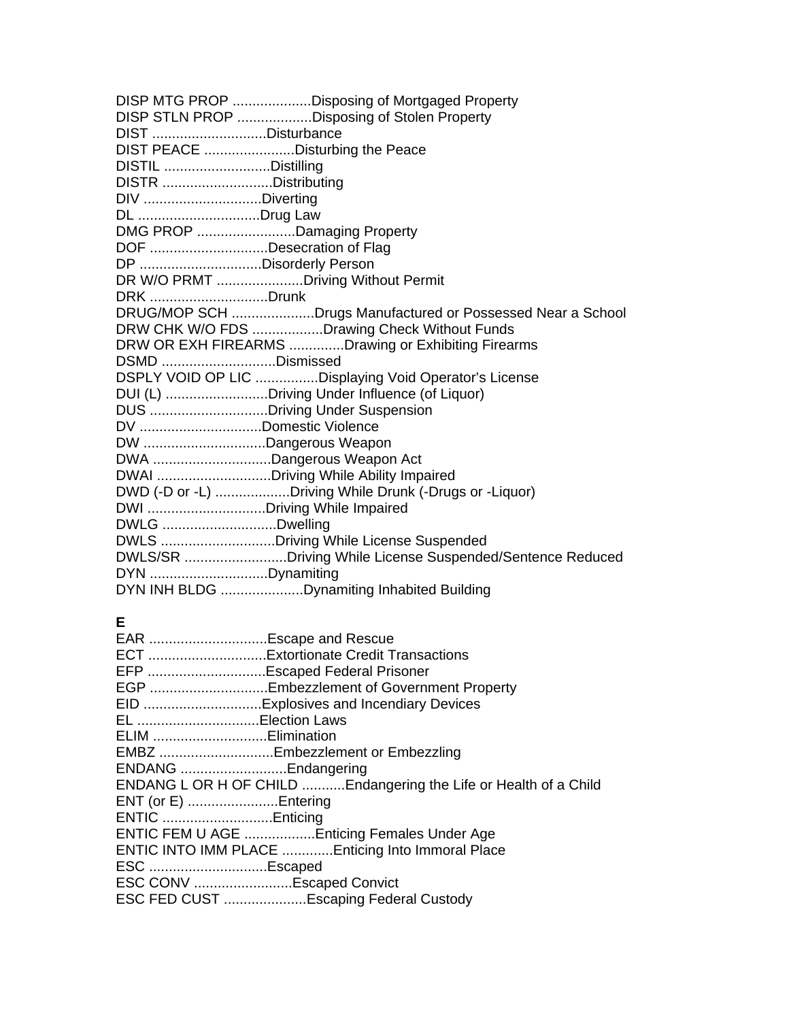|                          | DISP MTG PROP Disposing of Mortgaged Property                    |
|--------------------------|------------------------------------------------------------------|
|                          | DISP STLN PROP Disposing of Stolen Property                      |
| DIST Disturbance         |                                                                  |
|                          | DIST PEACE Disturbing the Peace                                  |
| DISTIL Distilling        |                                                                  |
| DISTR Distributing       |                                                                  |
| DIV Diverting            |                                                                  |
| DL Drug Law              |                                                                  |
|                          | DMG PROP Damaging Property                                       |
| DOF Desecration of Flag  |                                                                  |
| DP Disorderly Person     |                                                                  |
|                          | DR W/O PRMT Driving Without Permit                               |
| DRK Drunk                |                                                                  |
|                          | DRUG/MOP SCH Drugs Manufactured or Possessed Near a School       |
|                          | DRW CHK W/O FDS Drawing Check Without Funds                      |
|                          | DRW OR EXH FIREARMS Drawing or Exhibiting Firearms               |
| DSMD Dismissed           |                                                                  |
|                          | DSPLY VOID OP LIC Displaying Void Operator's License             |
|                          | DUI (L) Driving Under Influence (of Liquor)                      |
|                          | DUS Driving Under Suspension                                     |
| DV Domestic Violence     |                                                                  |
| DW Dangerous Weapon      |                                                                  |
|                          | DWA Dangerous Weapon Act                                         |
|                          | DWAI Driving While Ability Impaired                              |
|                          | DWD (-D or -L) Driving While Drunk (-Drugs or -Liquor)           |
|                          | DWI Driving While Impaired                                       |
| DWLG Dwelling            |                                                                  |
|                          | DWLS Driving While License Suspended                             |
|                          | DWLS/SR Driving While License Suspended/Sentence Reduced         |
| DYN Dynamiting           |                                                                  |
|                          | DYN INH BLDG Dynamiting Inhabited Building                       |
|                          |                                                                  |
| Е                        |                                                                  |
| EAR Escape and Rescue    |                                                                  |
|                          | ECT Extortionate Credit Transactions                             |
|                          | EFP Escaped Federal Prisoner                                     |
|                          |                                                                  |
|                          |                                                                  |
| EL Election Laws         |                                                                  |
| ELIM Elimination         |                                                                  |
|                          | EMBZ Embezzlement or Embezzling                                  |
| ENDANG Endangering       |                                                                  |
|                          | ENDANG L OR H OF CHILD Endangering the Life or Health of a Child |
| ENT (or E) Entering      |                                                                  |
| ENTIC Enticing           |                                                                  |
|                          | ENTIC FEM U AGE Enticing Females Under Age                       |
|                          | ENTIC INTO IMM PLACE Enticing Into Immoral Place                 |
| ESC Escaped              |                                                                  |
| ESC CONV Escaped Convict |                                                                  |

ESC FED CUST .....................Escaping Federal Custody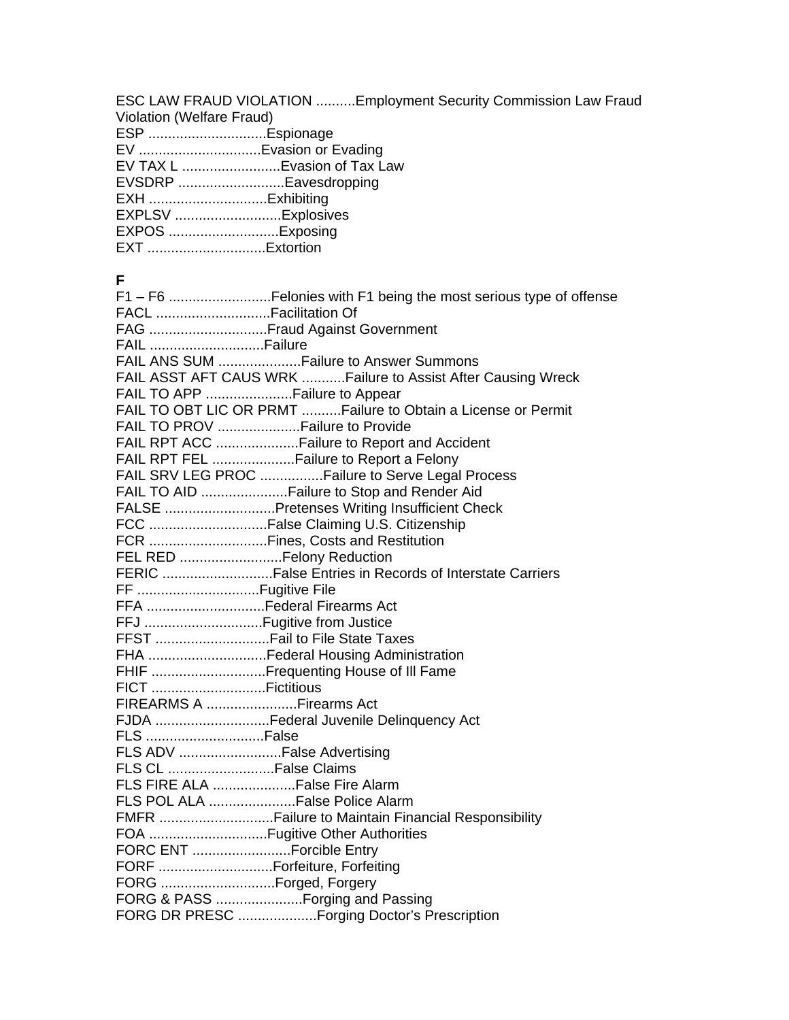ESC LAW FRAUD VIOLATION ..........Employment Security Commission Law Fraud Violation (Welfare Fraud)

ESP ..............................Espionage

EV ...............................Evasion or Evading

EV TAX L .........................Evasion of Tax Law

EVSDRP ...........................Eavesdropping EXH ..............................Exhibiting

EXPLSV ...........................Explosives

EXPOS ............................Exposing

EXT ..............................Extortion

**F** 

|                               | F1 - F6 Felonies with F1 being the most serious type of offense |
|-------------------------------|-----------------------------------------------------------------|
| FACL Facilitation Of          |                                                                 |
|                               | FAG Fraud Against Government                                    |
| FAIL Failure                  |                                                                 |
|                               | FAIL ANS SUM Failure to Answer Summons                          |
|                               | FAIL ASST AFT CAUS WRK Failure to Assist After Causing Wreck    |
|                               | FAIL TO APP Failure to Appear                                   |
|                               | FAIL TO OBT LIC OR PRMT Failure to Obtain a License or Permit   |
|                               | FAIL TO PROV Failure to Provide                                 |
|                               | FAIL RPT ACC Failure to Report and Accident                     |
|                               | FAIL RPT FEL Failure to Report a Felony                         |
|                               | FAIL SRV LEG PROC Failure to Serve Legal Process                |
|                               | FAIL TO AID Failure to Stop and Render Aid                      |
|                               | FALSE Pretenses Writing Insufficient Check                      |
|                               |                                                                 |
|                               |                                                                 |
| FEL RED Felony Reduction      |                                                                 |
|                               | FERIC False Entries in Records of Interstate Carriers           |
| FF Fugitive File              |                                                                 |
| FFA Federal Firearms Act      |                                                                 |
| FFJ Fugitive from Justice     |                                                                 |
|                               | FFST Fail to File State Taxes                                   |
|                               | FHA Federal Housing Administration                              |
|                               | FHIF Frequenting House of III Fame                              |
| FICT Fictitious               |                                                                 |
| FIREARMS A Firearms Act       |                                                                 |
|                               | FJDA Federal Juvenile Delinquency Act                           |
| FLS False                     |                                                                 |
| FLS ADV False Advertising     |                                                                 |
| FLS CL False Claims           |                                                                 |
| FLS FIRE ALA False Fire Alarm |                                                                 |
|                               | FLS POL ALA False Police Alarm                                  |
|                               |                                                                 |
|                               | FOA Fugitive Other Authorities                                  |
| FORC ENT Forcible Entry       |                                                                 |
| FORF Forfeiture, Forfeiting   |                                                                 |
| FORG  Forged, Forgery         |                                                                 |
|                               | FORG & PASS  Forging and Passing                                |
|                               | FORG DR PRESC Forging Doctor's Prescription                     |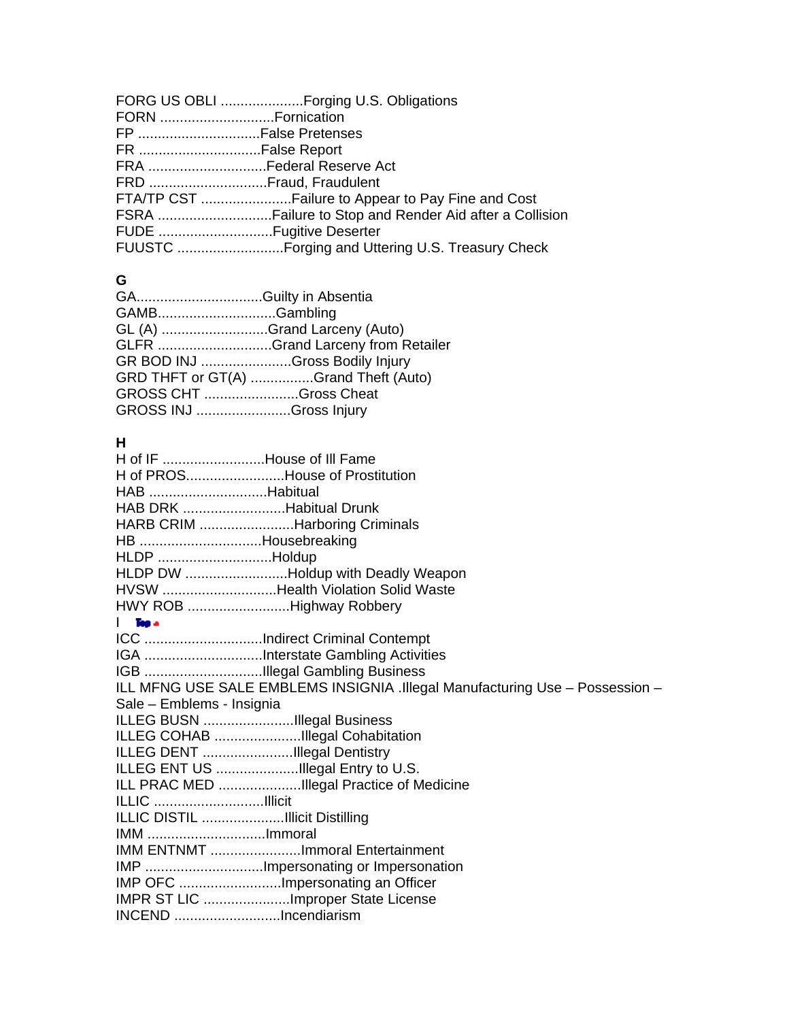| FORG US OBLI  Forging U.S. Obligations |
|----------------------------------------|
|                                        |
|                                        |
|                                        |
|                                        |
|                                        |
|                                        |
|                                        |
|                                        |
|                                        |

## **G**

| GAGuilty in Absentia   |                                      |  |
|------------------------|--------------------------------------|--|
| GAMBGambling           |                                      |  |
|                        | GL (A) Grand Larceny (Auto)          |  |
|                        | GLFR Grand Larceny from Retailer     |  |
|                        | GR BOD INJ Gross Bodily Injury       |  |
|                        | GRD THFT or GT(A) Grand Theft (Auto) |  |
| GROSS CHT Gross Cheat  |                                      |  |
| GROSS INJ Gross Injury |                                      |  |
|                        |                                      |  |

## **H**

| H of IF House of III Fame       |                                                                              |
|---------------------------------|------------------------------------------------------------------------------|
|                                 | H of PROSHouse of Prostitution                                               |
| HAB Habitual                    |                                                                              |
| HAB DRK Habitual Drunk          |                                                                              |
|                                 | HARB CRIM Harboring Criminals                                                |
| HB Housebreaking                |                                                                              |
| HLDP Holdup                     |                                                                              |
|                                 | HLDP DW Holdup with Deadly Weapon                                            |
|                                 | HVSW Health Violation Solid Waste                                            |
|                                 | HWY ROB Highway Robbery                                                      |
| <b>The A</b>                    |                                                                              |
|                                 | ICC Indirect Criminal Contempt                                               |
|                                 | IGA Interstate Gambling Activities                                           |
|                                 | IGB Illegal Gambling Business                                                |
|                                 | ILL MFNG USE SALE EMBLEMS INSIGNIA .Illegal Manufacturing Use - Possession - |
| Sale - Emblems - Insignia       |                                                                              |
|                                 | ILLEG BUSN Illegal Business                                                  |
|                                 | ILLEG COHAB Illegal Cohabitation                                             |
| ILLEG DENT Illegal Dentistry    |                                                                              |
|                                 | ILLEG ENT US Illegal Entry to U.S.                                           |
|                                 | ILL PRAC MED Illegal Practice of Medicine                                    |
|                                 |                                                                              |
| ILLIC DISTIL Illicit Distilling |                                                                              |
| IMM Immoral                     |                                                                              |
|                                 | IMM ENTNMT Immoral Entertainment                                             |
|                                 | IMP Impersonating or Impersonation                                           |
|                                 | IMP OFC Impersonating an Officer                                             |
|                                 | IMPR ST LIC Improper State License                                           |
| INCEND Incendiarism             |                                                                              |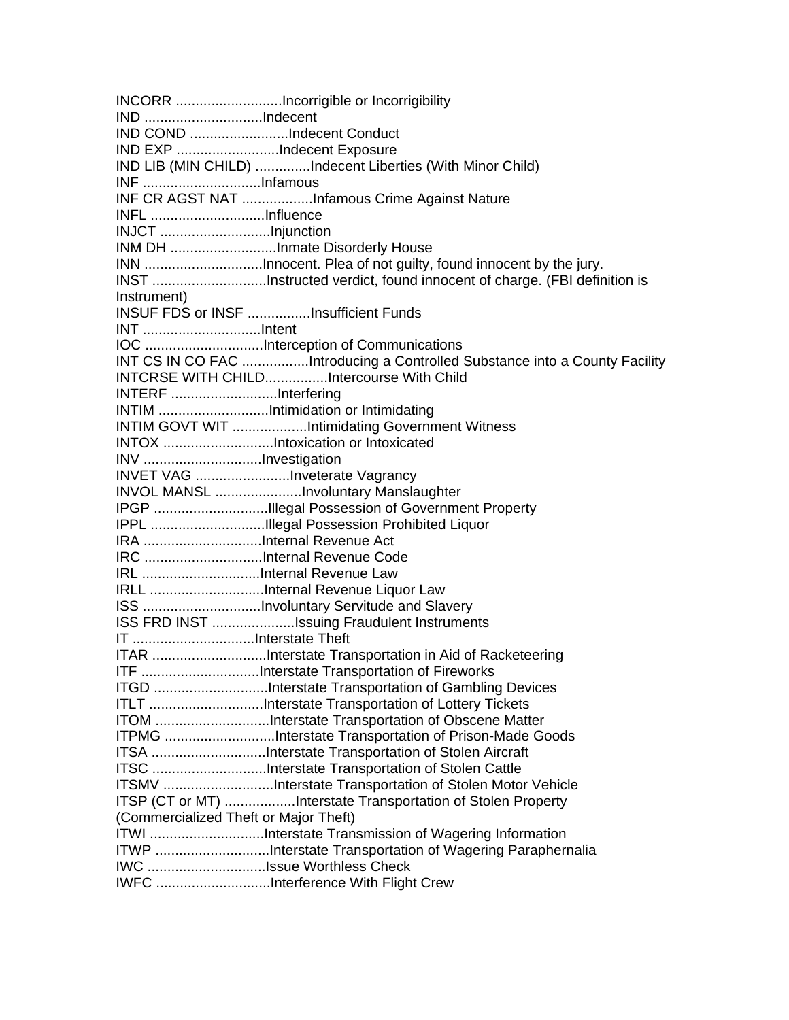|                                       | INCORR Incorrigible or Incorrigibility                                     |
|---------------------------------------|----------------------------------------------------------------------------|
| IND Indecent                          |                                                                            |
|                                       | IND COND Indecent Conduct                                                  |
|                                       | IND EXP Indecent Exposure                                                  |
|                                       | IND LIB (MIN CHILD) Indecent Liberties (With Minor Child)                  |
| INF Infamous                          |                                                                            |
|                                       | INF CR AGST NAT Infamous Crime Against Nature                              |
| INFL Influence                        |                                                                            |
| INJCT Injunction                      |                                                                            |
|                                       | INM DH Inmate Disorderly House                                             |
|                                       | INN Innocent. Plea of not guilty, found innocent by the jury.              |
|                                       | INST Instructed verdict, found innocent of charge. (FBI definition is      |
| Instrument)                           |                                                                            |
|                                       | INSUF FDS or INSF Insufficient Funds                                       |
|                                       |                                                                            |
|                                       | IOC Interception of Communications                                         |
|                                       | INT CS IN CO FAC Introducing a Controlled Substance into a County Facility |
|                                       | INTCRSE WITH CHILDIntercourse With Child                                   |
| INTERF Interfering                    |                                                                            |
|                                       | INTIM Intimidation or Intimidating                                         |
|                                       | INTIM GOVT WIT Intimidating Government Witness                             |
|                                       | INTOX Intoxication or Intoxicated                                          |
| INV Investigation                     |                                                                            |
|                                       | INVET VAG Inveterate Vagrancy                                              |
|                                       | INVOL MANSL Involuntary Manslaughter                                       |
|                                       | IPGP Illegal Possession of Government Property                             |
|                                       | IPPL Illegal Possession Prohibited Liquor                                  |
|                                       | IRA Internal Revenue Act                                                   |
|                                       | IRC Internal Revenue Code                                                  |
|                                       |                                                                            |
|                                       |                                                                            |
|                                       |                                                                            |
|                                       | ISS FRD INST Issuing Fraudulent Instruments                                |
|                                       |                                                                            |
|                                       |                                                                            |
|                                       |                                                                            |
|                                       |                                                                            |
|                                       | ITLT Interstate Transportation of Lottery Tickets                          |
|                                       | ITOM Interstate Transportation of Obscene Matter                           |
|                                       | ITPMG Interstate Transportation of Prison-Made Goods                       |
|                                       |                                                                            |
|                                       | ITSC Interstate Transportation of Stolen Cattle                            |
|                                       | ITSMV Interstate Transportation of Stolen Motor Vehicle                    |
|                                       | ITSP (CT or MT) Interstate Transportation of Stolen Property               |
| (Commercialized Theft or Major Theft) |                                                                            |
|                                       | ITWI Interstate Transmission of Wagering Information                       |
|                                       | ITWP Interstate Transportation of Wagering Paraphernalia                   |
|                                       | IWC Issue Worthless Check                                                  |
|                                       | IWFC Interference With Flight Crew                                         |
|                                       |                                                                            |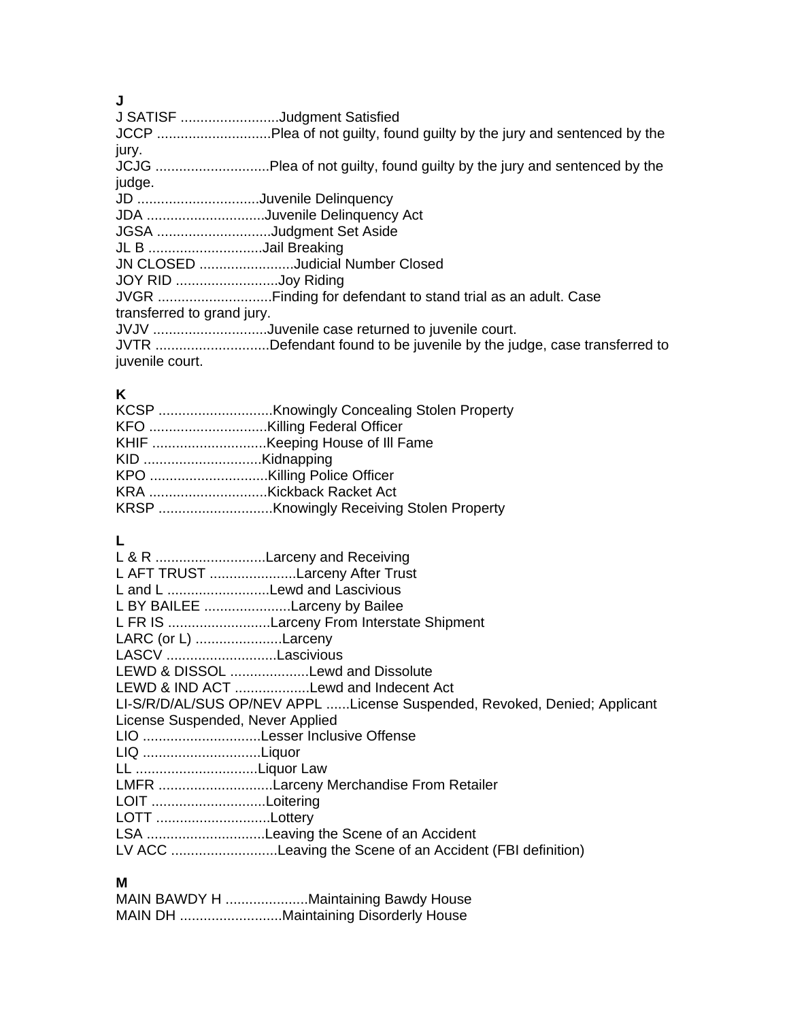| J SATISF Judgment Satisfied |                                                                       |
|-----------------------------|-----------------------------------------------------------------------|
|                             |                                                                       |
| jury.                       |                                                                       |
|                             |                                                                       |
| judge.                      |                                                                       |
| JD Juvenile Delinquency     |                                                                       |
|                             | JDA Juvenile Delinquency Act                                          |
| JGSA Judgment Set Aside     |                                                                       |
| JL B Jail Breaking          |                                                                       |
|                             | JN CLOSED Judicial Number Closed                                      |
| JOY RID Joy Riding          |                                                                       |
|                             |                                                                       |
| transferred to grand jury.  |                                                                       |
|                             | JVJV Juvenile case returned to juvenile court.                        |
|                             | JVTR Defendant found to be juvenile by the judge, case transferred to |
| juvenile court.             |                                                                       |

### **K**

**L** 

| L & R Larceny and Receiving                                               |
|---------------------------------------------------------------------------|
| L AFT TRUST Larceny After Trust                                           |
| L and L Lewd and Lascivious                                               |
| L BY BAILEE Larceny by Bailee                                             |
| L FR IS Larceny From Interstate Shipment                                  |
| LARC (or L) Larceny                                                       |
| LASCV Lascivious                                                          |
| LEWD & DISSOL Lewd and Dissolute                                          |
| LEWD & IND ACT Lewd and Indecent Act                                      |
| LI-S/R/D/AL/SUS OP/NEV APPL License Suspended, Revoked, Denied; Applicant |
| License Suspended, Never Applied                                          |
| LIO Lesser Inclusive Offense                                              |
| LIQ Liquor                                                                |
| LL Liquor Law                                                             |
| LMFR Larceny Merchandise From Retailer                                    |
| LOIT Loitering                                                            |
| LOTT Lottery                                                              |
| LSA Leaving the Scene of an Accident                                      |
| LV ACC Leaving the Scene of an Accident (FBI definition)                  |
|                                                                           |

#### **M**

MAIN BAWDY H .....................Maintaining Bawdy House MAIN DH ..........................Maintaining Disorderly House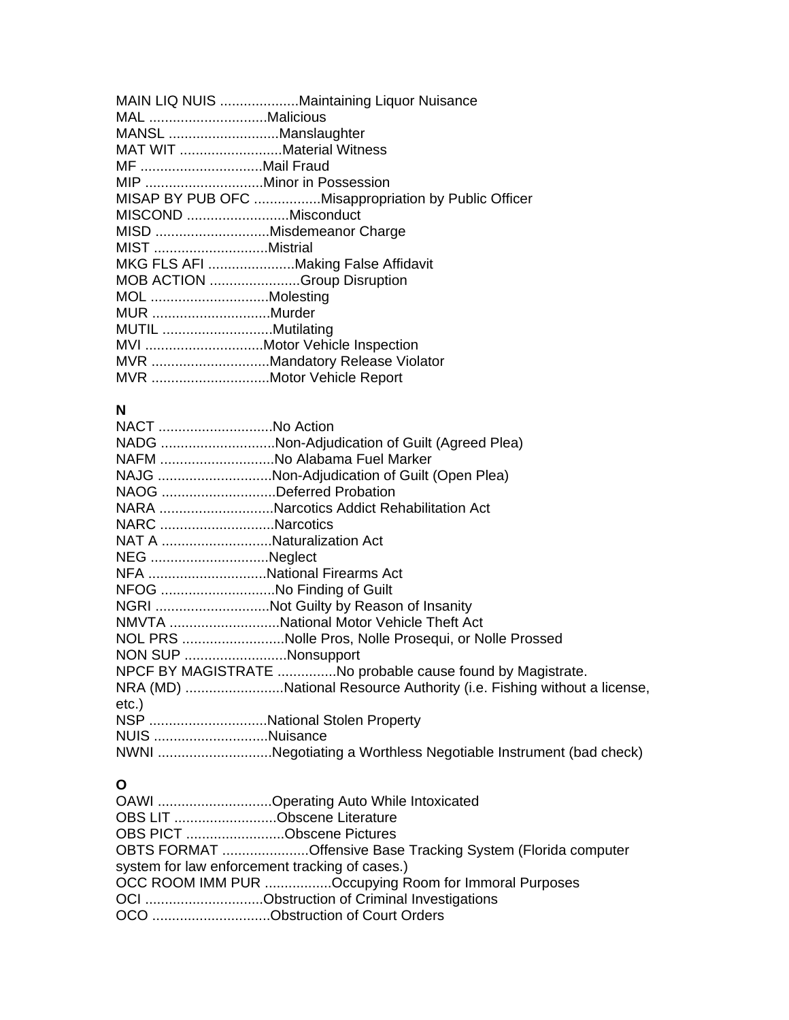|                          | MAIN LIQ NUIS Maintaining Liquor Nuisance           |
|--------------------------|-----------------------------------------------------|
| MAL Malicious            |                                                     |
| MANSL Manslaughter       |                                                     |
| MAT WIT Material Witness |                                                     |
| MF Mail Fraud            |                                                     |
| MIP Minor in Possession  |                                                     |
|                          | MISAP BY PUB OFC Misappropriation by Public Officer |
| MISCOND Misconduct       |                                                     |
|                          | MISD Misdemeanor Charge                             |
| MIST Mistrial            |                                                     |
|                          | MKG FLS AFI Making False Affidavit                  |
|                          | MOB ACTION Group Disruption                         |
| MOL Molesting            |                                                     |
| <b>MUR</b> Murder        |                                                     |
| MUTIL Mutilating         |                                                     |
|                          | MVI Motor Vehicle Inspection                        |
|                          | MVR Mandatory Release Violator                      |
|                          | MVR Motor Vehicle Report                            |

#### **N**

| NACT No Action            |                                                                       |
|---------------------------|-----------------------------------------------------------------------|
|                           | NADG Non-Adjudication of Guilt (Agreed Plea)                          |
|                           | NAFM No Alabama Fuel Marker                                           |
|                           | NAJG Non-Adjudication of Guilt (Open Plea)                            |
| NAOG Deferred Probation   |                                                                       |
|                           | NARA Narcotics Addict Rehabilitation Act                              |
| NARC Narcotics            |                                                                       |
| NAT A Naturalization Act  |                                                                       |
| NEG Neglect               |                                                                       |
| NFA National Firearms Act |                                                                       |
| NFOG No Finding of Guilt  |                                                                       |
|                           | NGRI Not Guilty by Reason of Insanity                                 |
|                           | NMVTA National Motor Vehicle Theft Act                                |
|                           | NOL PRS Nolle Pros, Nolle Prosequi, or Nolle Prossed                  |
| NON SUP Nonsupport        |                                                                       |
|                           | NPCF BY MAGISTRATE No probable cause found by Magistrate.             |
|                           | NRA (MD) National Resource Authority (i.e. Fishing without a license, |
| etc.)                     |                                                                       |
|                           | NSP National Stolen Property                                          |
| NUIS Nuisance             |                                                                       |
|                           | NWNI Negotiating a Worthless Negotiable Instrument (bad check)        |

## **O**

| OAWI Operating Auto While Intoxicated                        |
|--------------------------------------------------------------|
| OBS LIT Obscene Literature                                   |
| OBS PICT Obscene Pictures                                    |
| OBTS FORMAT Offensive Base Tracking System (Florida computer |
| system for law enforcement tracking of cases.)               |
| OCC ROOM IMM PUR Occupying Room for Immoral Purposes         |
| OCI Obstruction of Criminal Investigations                   |
| OCO Obstruction of Court Orders                              |
|                                                              |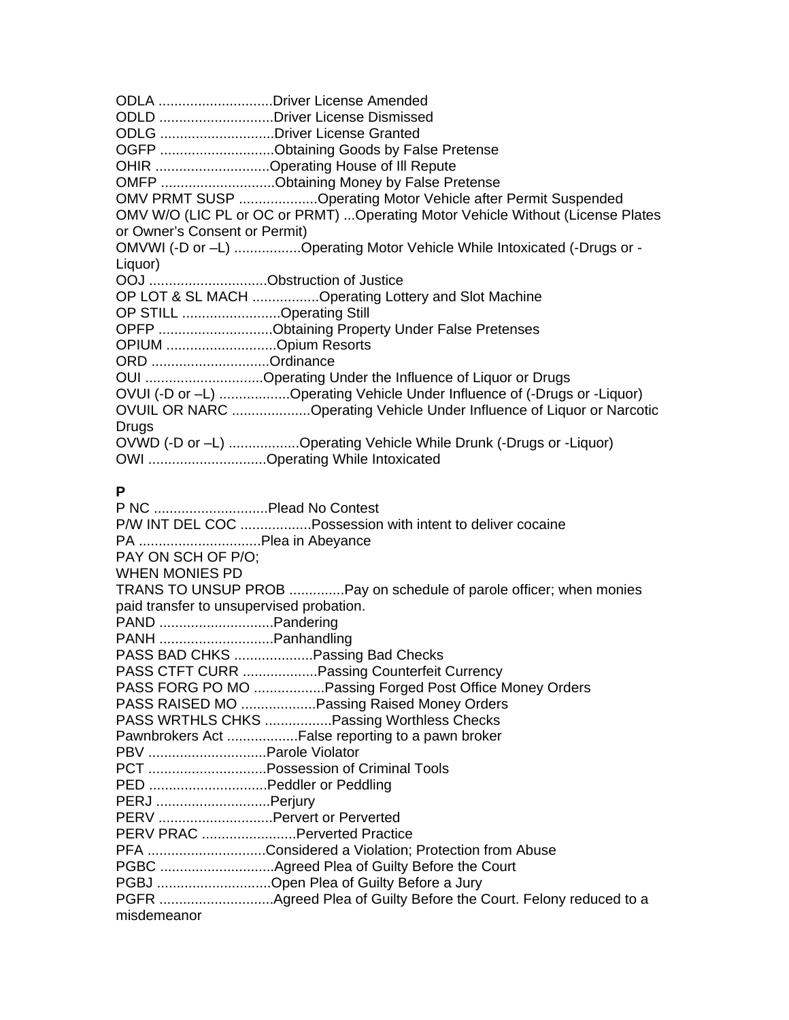ODLA .............................Driver License Amended ODLD .............................Driver License Dismissed ODLG .............................Driver License Granted OGFP ................................Obtaining Goods by False Pretense OHIR .............................Operating House of Ill Repute OMFP .............................Obtaining Money by False Pretense OMV PRMT SUSP ....................Operating Motor Vehicle after Permit Suspended OMV W/O (LIC PL or OC or PRMT) ...Operating Motor Vehicle Without (License Plates or Owner's Consent or Permit) OMVWI (-D or –L) .................Operating Motor Vehicle While Intoxicated (-Drugs or - Liquor) OOJ ..............................Obstruction of Justice OP LOT & SL MACH .................Operating Lottery and Slot Machine OP STILL .........................Operating Still OPFP .............................Obtaining Property Under False Pretenses OPIUM ............................Opium Resorts ORD ..............................Ordinance OUI ..............................Operating Under the Influence of Liquor or Drugs OVUI (-D or –L) ..................Operating Vehicle Under Influence of (-Drugs or -Liquor) OVUIL OR NARC ....................Operating Vehicle Under Influence of Liquor or Narcotic **Drugs** OVWD (-D or –L) ..................Operating Vehicle While Drunk (-Drugs or -Liquor) OWI ..............................Operating While Intoxicated **P**  P NC .............................Plead No Contest P/W INT DEL COC ..................Possession with intent to deliver cocaine PA ...............................Plea in Abeyance PAY ON SCH OF P/O; WHEN MONIES PD TRANS TO UNSUP PROB ..............Pay on schedule of parole officer; when monies

paid transfer to unsupervised probation.

PAND .............................Pandering

PANH .............................Panhandling

PASS BAD CHKS ....................Passing Bad Checks

PASS CTFT CURR ...................Passing Counterfeit Currency

PASS FORG PO MO ..................Passing Forged Post Office Money Orders

PASS RAISED MO ...................Passing Raised Money Orders

PASS WRTHLS CHKS .................Passing Worthless Checks

Pawnbrokers Act ..................False reporting to a pawn broker

PBV ..............................Parole Violator

PCT .................................Possession of Criminal Tools

- PED .................................Peddler or Peddling
- PERJ .............................Perjury
- PERV .............................Pervert or Perverted
- PERV PRAC ........................Perverted Practice

PFA ..............................Considered a Violation; Protection from Abuse

- PGBC .............................Agreed Plea of Guilty Before the Court
- PGBJ .................................Open Plea of Guilty Before a Jury

PGFR ................................Agreed Plea of Guilty Before the Court. Felony reduced to a misdemeanor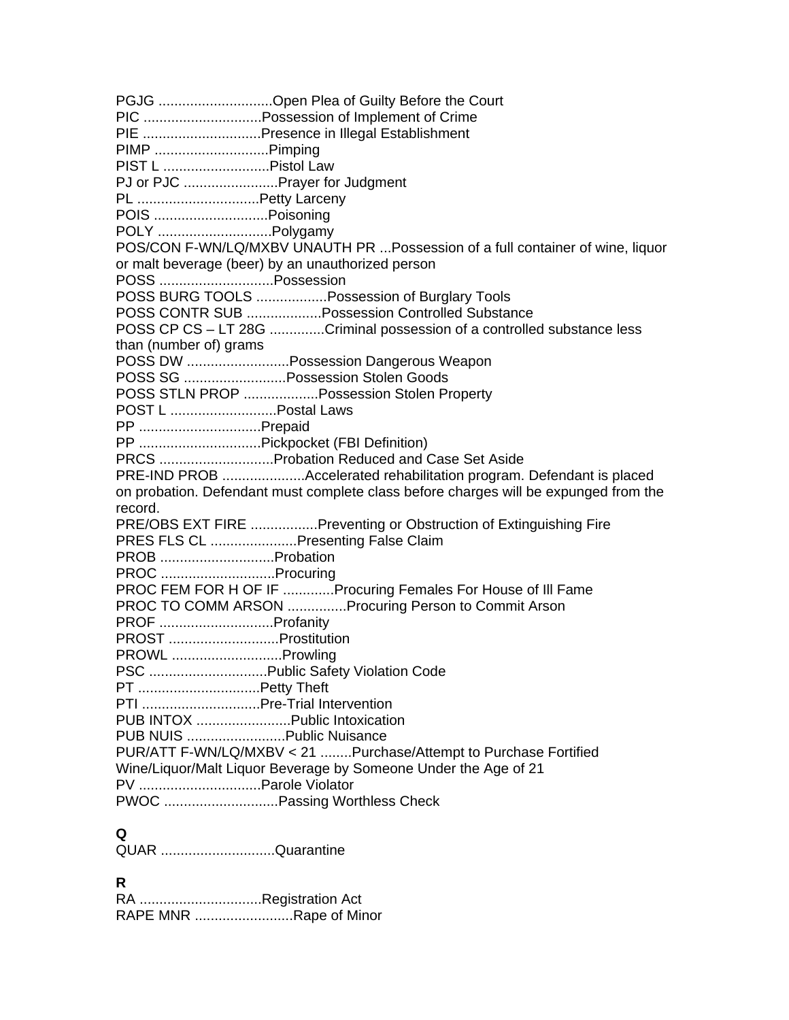PGJG .............................Open Plea of Guilty Before the Court PIC ..............................Possession of Implement of Crime PIE .................................Presence in Illegal Establishment PIMP .............................Pimping PIST L ...........................Pistol Law PJ or PJC ..........................Prayer for Judgment PL ...............................Petty Larceny POIS .............................Poisoning POLY .............................Polygamy POS/CON F-WN/LQ/MXBV UNAUTH PR ...Possession of a full container of wine, liquor or malt beverage (beer) by an unauthorized person POSS .............................Possession POSS BURG TOOLS ..................Possession of Burglary Tools POSS CONTR SUB ...................Possession Controlled Substance POSS CP CS – LT 28G ..............Criminal possession of a controlled substance less than (number of) grams POSS DW ............................Possession Dangerous Weapon POSS SG ..........................Possession Stolen Goods POSS STLN PROP ...................Possession Stolen Property POST L ...........................Postal Laws PP ...............................Prepaid PP ...............................Pickpocket (FBI Definition) PRCS .............................Probation Reduced and Case Set Aside PRE-IND PROB .....................Accelerated rehabilitation program. Defendant is placed on probation. Defendant must complete class before charges will be expunged from the record. PRE/OBS EXT FIRE .................Preventing or Obstruction of Extinguishing Fire PRES FLS CL ......................Presenting False Claim PROB .............................Probation PROC .............................Procuring PROC FEM FOR H OF IF .............Procuring Females For House of III Fame PROC TO COMM ARSON ...............Procuring Person to Commit Arson PROF .............................Profanity PROST ............................Prostitution PROWL ............................Prowling PSC .................................Public Safety Violation Code PT ...............................Petty Theft PTI .................................Pre-Trial Intervention PUB INTOX ........................Public Intoxication PUB NUIS .........................Public Nuisance PUR/ATT F-WN/LQ/MXBV < 21 ........Purchase/Attempt to Purchase Fortified Wine/Liquor/Malt Liquor Beverage by Someone Under the Age of 21 PV ...............................Parole Violator PWOC .............................Passing Worthless Check

### **Q**

QUAR .............................Quarantine

### **R**

RA ...............................Registration Act RAPE MNR .........................Rape of Minor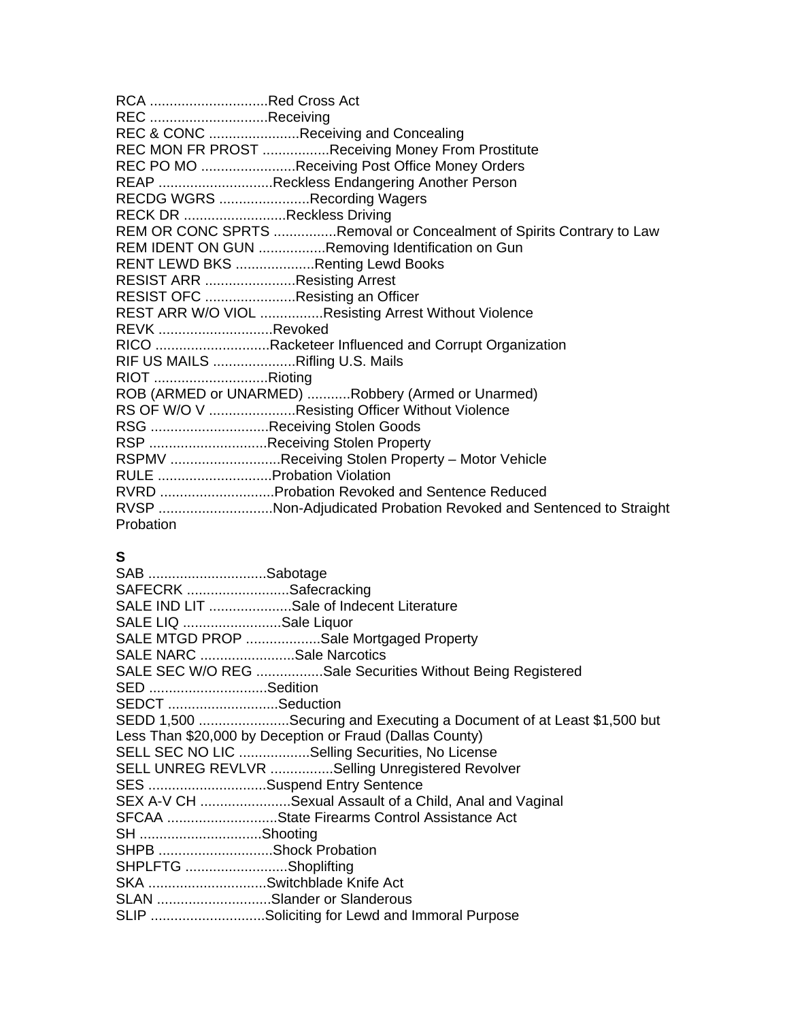#### **S**

| SAB Sabotage              |                                                                      |
|---------------------------|----------------------------------------------------------------------|
| SAFECRK Safecracking      |                                                                      |
|                           | SALE IND LIT Sale of Indecent Literature                             |
| SALE LIQ Sale Liquor      |                                                                      |
|                           | SALE MTGD PROP Sale Mortgaged Property                               |
| SALE NARC Sale Narcotics  |                                                                      |
|                           | SALE SEC W/O REG Sale Securities Without Being Registered            |
| SED Sedition              |                                                                      |
| SEDCT Seduction           |                                                                      |
|                           | SEDD 1,500 Securing and Executing a Document of at Least \$1,500 but |
|                           | Less Than \$20,000 by Deception or Fraud (Dallas County)             |
|                           | SELL SEC NO LIC Selling Securities, No License                       |
|                           | SELL UNREG REVLVR Selling Unregistered Revolver                      |
|                           | SES Suspend Entry Sentence                                           |
|                           | SEX A-V CH Sexual Assault of a Child, Anal and Vaginal               |
|                           | SFCAA State Firearms Control Assistance Act                          |
| SH Shooting               |                                                                      |
| SHPB Shock Probation      |                                                                      |
| SHPLFTG Shoplifting       |                                                                      |
| SKA Switchblade Knife Act |                                                                      |
|                           | SLAN Slander or Slanderous                                           |
|                           | SLIP Soliciting for Lewd and Immoral Purpose                         |
|                           |                                                                      |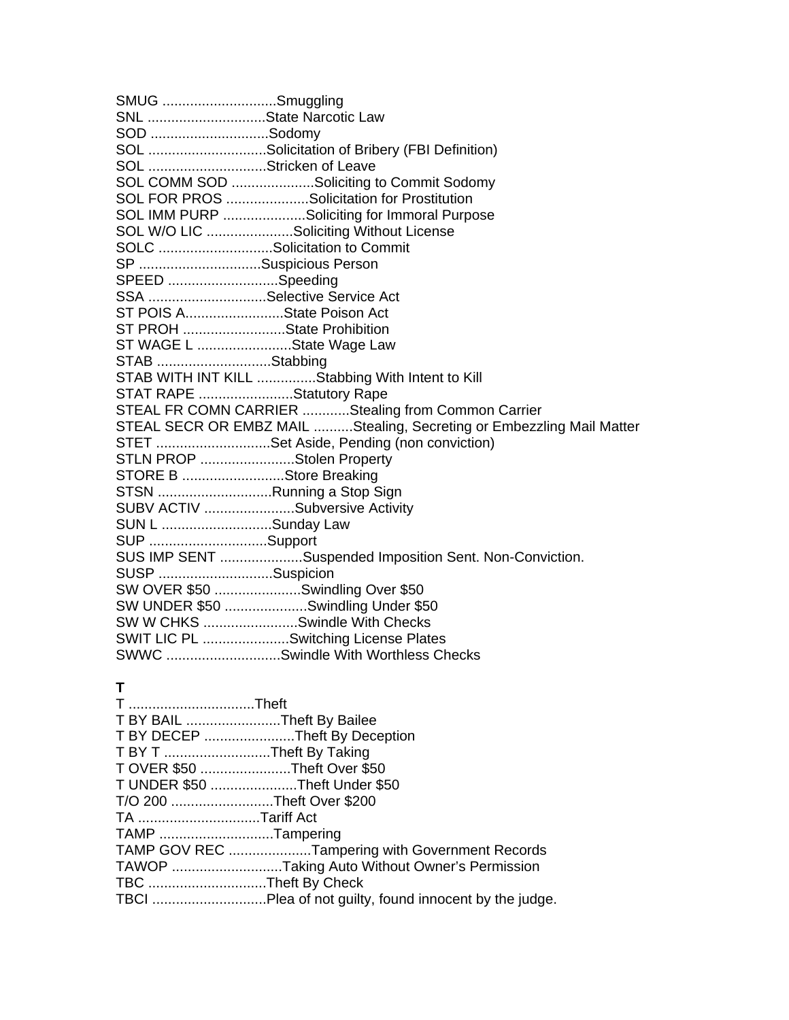| SMUG Smuggling              |                                                                       |
|-----------------------------|-----------------------------------------------------------------------|
| SNL State Narcotic Law      |                                                                       |
| SOD Sodomy                  |                                                                       |
|                             | SOL Solicitation of Bribery (FBI Definition)                          |
| SOL Stricken of Leave       |                                                                       |
|                             | SOL COMM SOD Soliciting to Commit Sodomy                              |
|                             | SOL FOR PROS Solicitation for Prostitution                            |
|                             | SOL IMM PURP Soliciting for Immoral Purpose                           |
|                             | SOL W/O LIC Soliciting Without License                                |
| SOLC Solicitation to Commit |                                                                       |
| SP Suspicious Person        |                                                                       |
| SPEED Speeding              |                                                                       |
| SSA Selective Service Act   |                                                                       |
| ST POIS AState Poison Act   |                                                                       |
| ST PROH State Prohibition   |                                                                       |
| ST WAGE L State Wage Law    |                                                                       |
| STAB Stabbing               |                                                                       |
|                             | STAB WITH INT KILL Stabbing With Intent to Kill                       |
| STAT RAPE Statutory Rape    |                                                                       |
|                             | STEAL FR COMN CARRIER Stealing from Common Carrier                    |
|                             | STEAL SECR OR EMBZ MAIL Stealing, Secreting or Embezzling Mail Matter |
|                             | STET Set Aside, Pending (non conviction)                              |
| STLN PROP Stolen Property   |                                                                       |
| STORE B Store Breaking      |                                                                       |
| STSN Running a Stop Sign    |                                                                       |
|                             | SUBV ACTIV Subversive Activity                                        |
| SUN L Sunday Law            |                                                                       |
| SUP Support                 |                                                                       |
|                             | SUS IMP SENT Suspended Imposition Sent. Non-Conviction.               |
| SUSP Suspicion              |                                                                       |
|                             | SW OVER \$50 Swindling Over \$50                                      |
|                             | SW UNDER \$50 Swindling Under \$50                                    |
|                             | SW W CHKS Swindle With Checks                                         |
|                             | SWIT LIC PL Switching License Plates                                  |
|                             | SWWC Swindle With Worthless Checks                                    |
|                             |                                                                       |

#### **T**

| T Theft                   |                                                       |
|---------------------------|-------------------------------------------------------|
| T BY BAIL Theft By Bailee |                                                       |
|                           | T BY DECEP Theft By Deception                         |
| T BY T Theft By Taking    |                                                       |
|                           | T OVER \$50 Theft Over \$50                           |
|                           | T UNDER \$50 Theft Under \$50                         |
| T/O 200 Theft Over \$200  |                                                       |
| TA Tariff Act             |                                                       |
| TAMP Tampering            |                                                       |
|                           | TAMP GOV REC Tampering with Government Records        |
|                           | TAWOP Taking Auto Without Owner's Permission          |
| TBC Theft By Check        |                                                       |
|                           | TBCI Plea of not guilty, found innocent by the judge. |
|                           |                                                       |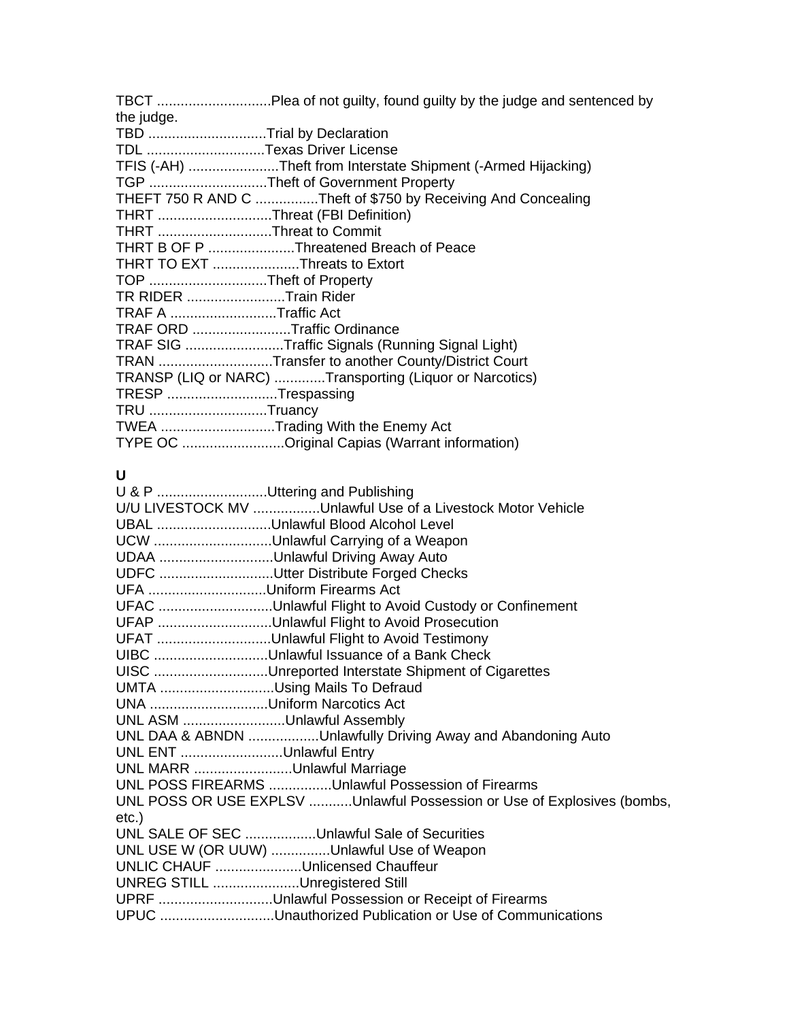|                                | TBCT Plea of not guilty, found guilty by the judge and sentenced by     |
|--------------------------------|-------------------------------------------------------------------------|
| the judge.                     |                                                                         |
| TBD Trial by Declaration       |                                                                         |
| TDL Texas Driver License       |                                                                         |
|                                | TFIS (-AH) Theft from Interstate Shipment (-Armed Hijacking)            |
|                                | TGP Theft of Government Property                                        |
|                                | THEFT 750 R AND C Theft of \$750 by Receiving And Concealing            |
|                                | THRT Threat (FBI Definition)                                            |
| THRT Threat to Commit          |                                                                         |
|                                | THRT B OF P Threatened Breach of Peace                                  |
| THRT TO EXT Threats to Extort  |                                                                         |
| TOP Theft of Property          |                                                                         |
| TR RIDER Train Rider           |                                                                         |
| TRAF A Traffic Act             |                                                                         |
|                                |                                                                         |
| TRAF ORD Traffic Ordinance     |                                                                         |
|                                | TRAF SIG Traffic Signals (Running Signal Light)                         |
|                                | TRAN Transfer to another County/District Court                          |
|                                | TRANSP (LIQ or NARC) Transporting (Liquor or Narcotics)                 |
| TRESP Trespassing              |                                                                         |
| TRU Truancy                    |                                                                         |
|                                | TWEA Trading With the Enemy Act                                         |
|                                | TYPE OC Original Capias (Warrant information)                           |
|                                |                                                                         |
| U                              |                                                                         |
|                                | U & P Uttering and Publishing                                           |
|                                | U/U LIVESTOCK MV Unlawful Use of a Livestock Motor Vehicle              |
|                                | UBAL Unlawful Blood Alcohol Level                                       |
|                                | UCW Unlawful Carrying of a Weapon                                       |
|                                | UDAA Unlawful Driving Away Auto                                         |
|                                | UDFC Utter Distribute Forged Checks                                     |
| UFA Uniform Firearms Act       |                                                                         |
|                                | UFAC Unlawful Flight to Avoid Custody or Confinement                    |
|                                | UFAP Unlawful Flight to Avoid Prosecution                               |
|                                | UFAT Unlawful Flight to Avoid Testimony                                 |
|                                | UIBC Unlawful Issuance of a Bank Check                                  |
|                                | UISC Unreported Interstate Shipment of Cigarettes                       |
|                                | UMTA Using Mails To Defraud                                             |
| UNA Uniform Narcotics Act      |                                                                         |
| UNL ASM Unlawful Assembly      |                                                                         |
|                                | UNL DAA & ABNDN Unlawfully Driving Away and Abandoning Auto             |
| UNL ENT Unlawful Entry         |                                                                         |
| UNL MARR Unlawful Marriage     |                                                                         |
|                                | UNL POSS FIREARMS Unlawful Possession of Firearms                       |
|                                | UNL POSS OR USE EXPLSV Unlawful Possession or Use of Explosives (bombs, |
| etc.)                          |                                                                         |
|                                | UNL SALE OF SEC Unlawful Sale of Securities                             |
|                                | UNL USE W (OR UUW) Unlawful Use of Weapon                               |
|                                | UNLIC CHAUF Unlicensed Chauffeur                                        |
|                                |                                                                         |
| UNREG STILL Unregistered Still |                                                                         |
|                                | UPRF Unlawful Possession or Receipt of Firearms                         |

UPUC .............................Unauthorized Publication or Use of Communications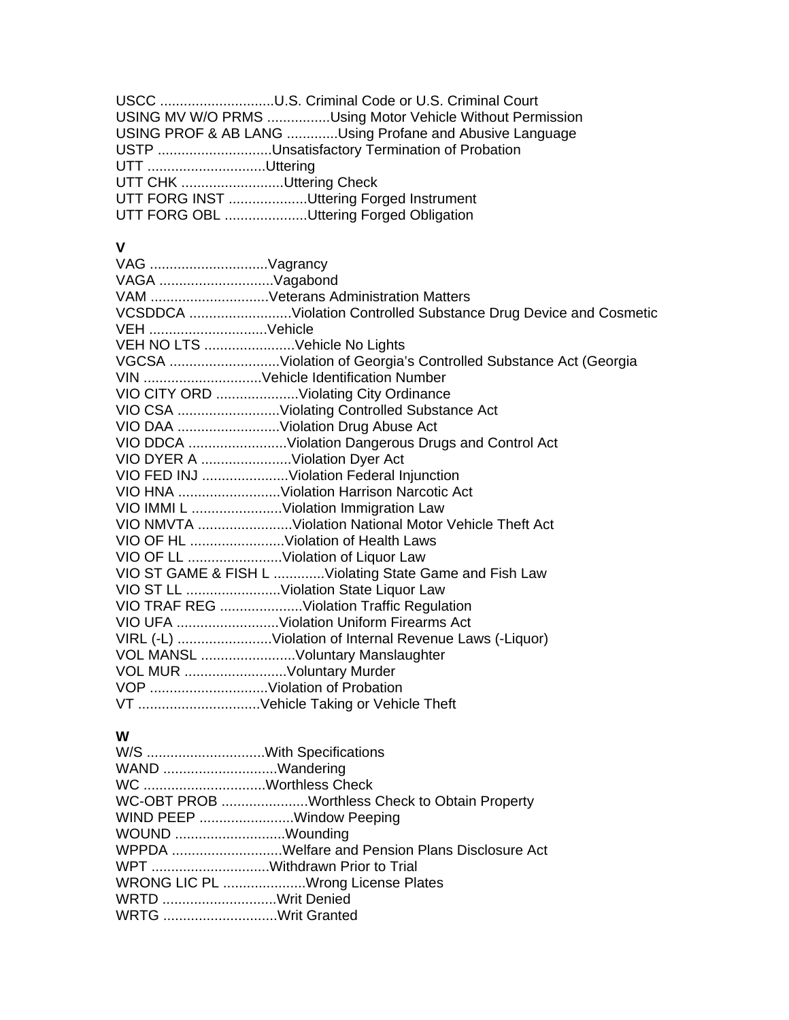|              | USCC U.S. Criminal Code or U.S. Criminal Court           |
|--------------|----------------------------------------------------------|
|              | USING MV W/O PRMS Using Motor Vehicle Without Permission |
|              | USING PROF & AB LANG Using Profane and Abusive Language  |
|              | USTP Unsatisfactory Termination of Probation             |
| UTT Uttering |                                                          |
|              | UTT CHK Uttering Check                                   |
|              | UTT FORG INST Uttering Forged Instrument                 |
|              | UTT FORG OBL Uttering Forged Obligation                  |

#### **V**

| VAG Vagrancy       |                                                                 |
|--------------------|-----------------------------------------------------------------|
| VAGA Vagabond      |                                                                 |
|                    | VAM Veterans Administration Matters                             |
|                    | VCSDDCA Violation Controlled Substance Drug Device and Cosmetic |
| <b>VEH</b> Vehicle |                                                                 |
|                    | VEH NO LTS Vehicle No Lights                                    |
|                    | VGCSA Violation of Georgia's Controlled Substance Act (Georgia  |
|                    | VIN Vehicle Identification Number                               |
|                    | VIO CITY ORD Violating City Ordinance                           |
|                    | VIO CSA Violating Controlled Substance Act                      |
|                    | VIO DAA Violation Drug Abuse Act                                |
|                    | VIO DDCA Violation Dangerous Drugs and Control Act              |
|                    | VIO DYER A Violation Dyer Act                                   |
|                    | VIO FED INJ Violation Federal Injunction                        |
|                    | VIO HNA Violation Harrison Narcotic Act                         |
|                    | VIO IMMI L Violation Immigration Law                            |
|                    | VIO NMVTA Violation National Motor Vehicle Theft Act            |
|                    | VIO OF HL Violation of Health Laws                              |
|                    | VIO OF LL Violation of Liquor Law                               |
|                    | VIO ST GAME & FISH L Violating State Game and Fish Law          |
|                    | VIO ST LL Violation State Liquor Law                            |
|                    | VIO TRAF REG Violation Traffic Regulation                       |
|                    | VIO UFA Violation Uniform Firearms Act                          |
|                    | VIRL (-L) Violation of Internal Revenue Laws (-Liquor)          |
|                    | VOL MANSL Voluntary Manslaughter                                |
|                    | VOL MUR Voluntary Murder                                        |
|                    | VOP Violation of Probation                                      |
|                    | VT Vehicle Taking or Vehicle Theft                              |
|                    |                                                                 |

#### **W**

|                         | W/S With Specifications                        |
|-------------------------|------------------------------------------------|
| WAND Wandering          |                                                |
|                         | WC Worthless Check                             |
|                         | WC-OBT PROB Worthless Check to Obtain Property |
|                         | WIND PEEP Window Peeping                       |
| WOUND Wounding          |                                                |
|                         | WPPDA Welfare and Pension Plans Disclosure Act |
|                         | WPT Withdrawn Prior to Trial                   |
|                         | WRONG LIC PL Wrong License Plates              |
| <b>WRTD Writ Denied</b> |                                                |
|                         | <b>WRTG</b> Writ Granted                       |
|                         |                                                |